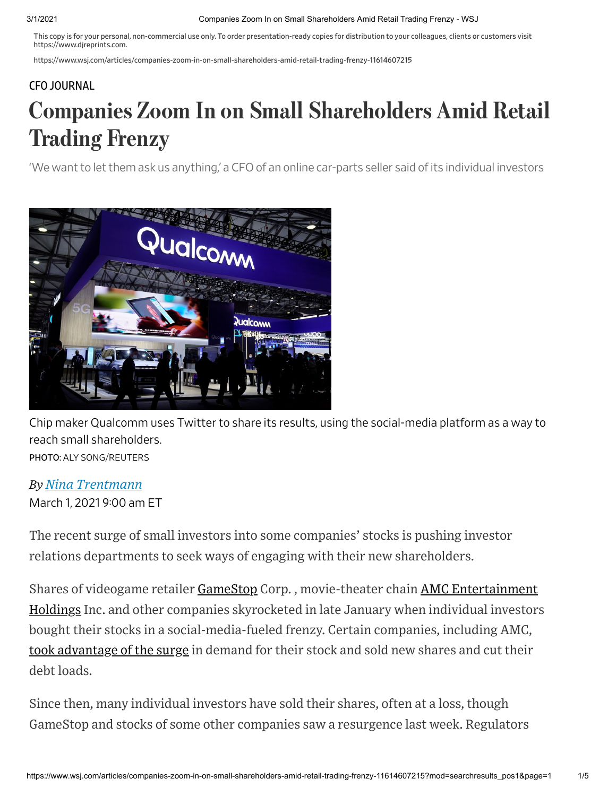### 3/1/2021 Companies Zoom In on Small Shareholders Amid Retail Trading Frenzy - WSJ

This copy is for your personal, non-commercial use only. To order presentation-ready copies for distribution to your colleagues, clients or customers visit https://www.djreprints.com.

https://www.wsj.com/articles/companies-zoom-in-on-small-shareholders-amid-retail-trading-frenzy-11614607215

### [CFO JOURNAL](https://www.wsj.com/news/types/cfo-journal?mod=breadcrumb)

# Companies Zoom In on Small Shareholders Amid Retail Trading Frenzy

'We want to let them ask us anything,' a CFO of an online car-parts seller said of its individual investors



Chip maker Qualcomm uses Twitter to share its results, using the social-media platform as a way to reach small shareholders.

PHOTO: ALY SONG/REUTERS

### *By Nina Trentmann*

March 1, 2021 9:00 am ET

The recent surge of small investors into some companies' stocks is pushing investor relations departments to seek ways of engaging with their new shareholders.

Shares of videogame retailer [GameStop](https://www.wsj.com/market-data/quotes/GME) Corp., movie-theater chain **AMC [Entertainment](https://www.wsj.com/market-data/quotes/AMC)** Holdings Inc. and other companies skyrocketed in late January when individual investors bought their stocks in a social-media-fueled frenzy. Certain companies, including AMC, took [advantage](https://www.wsj.com/articles/amcs-pandemic-survival-gets-boost-from-retail-mania-11611787370?mod=article_inline) of the surge in demand for their stock and sold new shares and cut their debt loads.

Since then, many individual investors have sold their shares, often at a loss, though GameStop and stocks of some other companies saw a resurgence last week. Regulators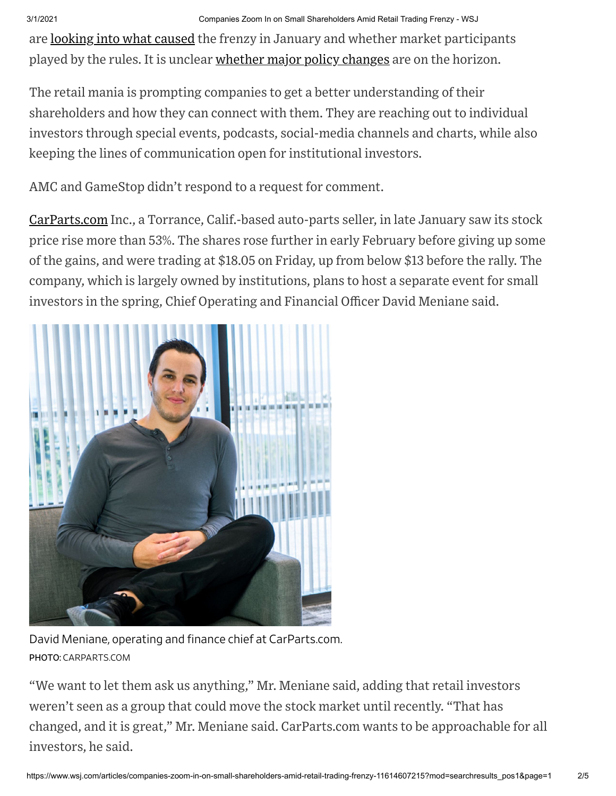are [looking](https://www.wsj.com/video/what-regulators-are-looking-into-with-the-gamestop-frenzy/7E4B6FD0-E7BE-41AA-89FD-4045A59820BF.html?mod=article_inline) into what caused the frenzy in January and whether market participants played by the rules. It is unclear [whether](https://www.wsj.com/articles/robinhood-citadel-others-prepare-for-the-gamestop-spotlight-in-washington-11613655854?mod=hp_lead_pos1&mod=article_inline) major policy changes are on the horizon.

The retail mania is prompting companies to get a better understanding of their shareholders and how they can connect with them. They are reaching out to individual investors through special events, podcasts, social-media channels and charts, while also keeping the lines of communication open for institutional investors.

AMC and GameStop didn't respond to a request for comment.

[CarParts.com](https://www.wsj.com/market-data/quotes/PRTS) Inc., a Torrance, Calif.-based auto-parts seller, in late January saw its stock price rise more than 53%. The shares rose further in early February before giving up some of the gains, and were trading at \$18.05 on Friday, up from below \$13 before the rally. The company, which is largely owned by institutions, plans to host a separate event for small investors in the spring, Chief Operating and Financial Officer David Meniane said.



David Meniane, operating and finance chief at CarParts.com. PHOTO: CARPARTS.COM

"We want to let them ask us anything," Mr. Meniane said, adding that retail investors weren't seen as a group that could move the stock market until recently. "That has changed, and it is great," Mr. Meniane said. CarParts.com wants to be approachable for all investors, he said.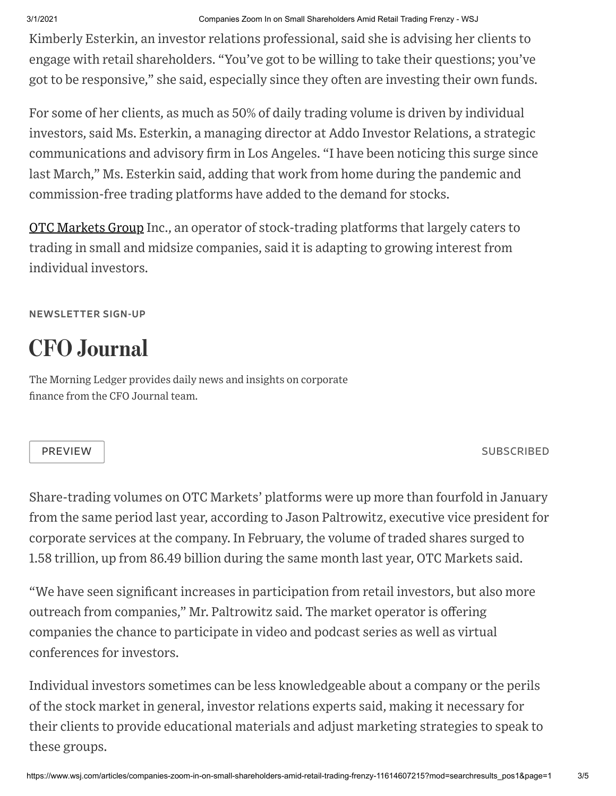### 3/1/2021 Companies Zoom In on Small Shareholders Amid Retail Trading Frenzy - WSJ

Kimberly Esterkin, an investor relations professional, said she is advising her clients to engage with retail shareholders. "You've got to be willing to take their questions; you've got to be responsive," she said, especially since they often are investing their own funds.

For some of her clients, as much as 50% of daily trading volume is driven by individual investors, said Ms. Esterkin, a managing director at Addo Investor Relations, a strategic communications and advisory firm in Los Angeles. "I have been noticing this surge since last March," Ms. Esterkin said, adding that work from home during the pandemic and commission-free trading platforms have added to the demand for stocks.

OTC [Markets](https://www.wsj.com/market-data/quotes/OTCM) Group Inc., an operator of stock-trading platforms that largely caters to trading in small and midsize companies, said it is adapting to growing interest from individual investors.

### NEWSLETTER SIGN-UP

# CFO Journal

The Morning Ledger provides daily news and insights on corporate finance from the CFO Journal team.

### PREVIEW FOR A SUBSCRIBED CONTROL IN THE SUBSCRIBED SUBSCRIBED

Share-trading volumes on OTC Markets' platforms were up more than fourfold in January from the same period last year, according to Jason Paltrowitz, executive vice president for corporate services at the company. In February, the volume of traded shares surged to 1.58 trillion, up from 86.49 billion during the same month last year, OTC Markets said.

"We have seen significant increases in participation from retail investors, but also more outreach from companies," Mr. Paltrowitz said. The market operator is offering companies the chance to participate in video and podcast series as well as virtual conferences for investors.

Individual investors sometimes can be less knowledgeable about a company or the perils of the stock market in general, investor relations experts said, making it necessary for their clients to provide educational materials and adjust marketing strategies to speak to these groups.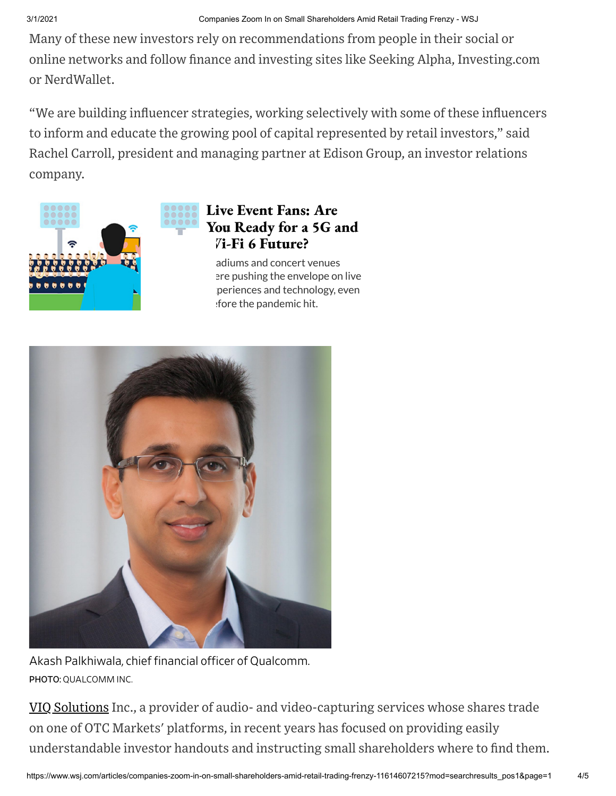Many of these new investors rely on recommendations from people in their social or online networks and follow finance and investing sites like Seeking Alpha, Investing.com or NerdWallet.

"We are building influencer strategies, working selectively with some of these influencers to inform and educate the growing pool of capital represented by retail investors," said Rachel Carroll, president and managing partner at Edison Group, an investor relations company.



## **Live Event Fans: Are You Ready for a 5G and Wi-Fi 6 [Future?](https://adclick.g.doubleclick.net/pcs/click?xai=AKAOjsuj7C8gMbTyLwVYlHUjvgBRnz-dfXpgNE49yEMCJkoOFe2SZsv1l2gM93SMtmrlDOcjWJOxL1LgMHnMcD9O6iFqAqAXOB-Tnx0r9S_JhAdXmykXlQ5GhmnFUoiW_CDSy_-ZcBREsDRh44pKCHluiVadpMvExCUKX6l-uOAdT1KhTTbIggtu63Q2QolYvQ6ZxpTTQXBiFMFbW_fdjQsuqOMU9zMhMDkig2K1FfDKaRhMzdvOaY2I-0ppvnzazkJLbXu1-jS4axMEqS3knXbd9RozlAli7cYZMz79tem-bct38xusy4_nOug&sig=Cg0ArKJSzDVbcZ5ZnaA4EAE&urlfix=1&adurl=https://partners.wsj.com/cisco/powering-an-inclusive-future/the-future-of-live-entertainment-how-5g-and-wi-fi-6-are-changing-the-game/)**

adiums and [concert venues](https://adclick.g.doubleclick.net/pcs/click?xai=AKAOjsuj7C8gMbTyLwVYlHUjvgBRnz-dfXpgNE49yEMCJkoOFe2SZsv1l2gM93SMtmrlDOcjWJOxL1LgMHnMcD9O6iFqAqAXOB-Tnx0r9S_JhAdXmykXlQ5GhmnFUoiW_CDSy_-ZcBREsDRh44pKCHluiVadpMvExCUKX6l-uOAdT1KhTTbIggtu63Q2QolYvQ6ZxpTTQXBiFMFbW_fdjQsuqOMU9zMhMDkig2K1FfDKaRhMzdvOaY2I-0ppvnzazkJLbXu1-jS4axMEqS3knXbd9RozlAli7cYZMz79tem-bct38xusy4_nOug&sig=Cg0ArKJSzDVbcZ5ZnaA4EAE&urlfix=1&adurl=https://partners.wsj.com/cisco/powering-an-inclusive-future/the-future-of-live-entertainment-how-5g-and-wi-fi-6-are-changing-the-game/) ere pushing the envelope on live periences and technology, even fore the pandemic hit.



Akash Palkhiwala, chief financial officer of Qualcomm. PHOTO: QUALCOMM INC.

VIQ [Solutions](https://www.wsj.com/market-data/quotes/CA/XTSE/VQS) Inc., a provider of audio- and video-capturing services whose shares trade on one of OTC Markets' platforms, in recent years has focused on providing easily understandable investor handouts and instructing small shareholders where to find them.